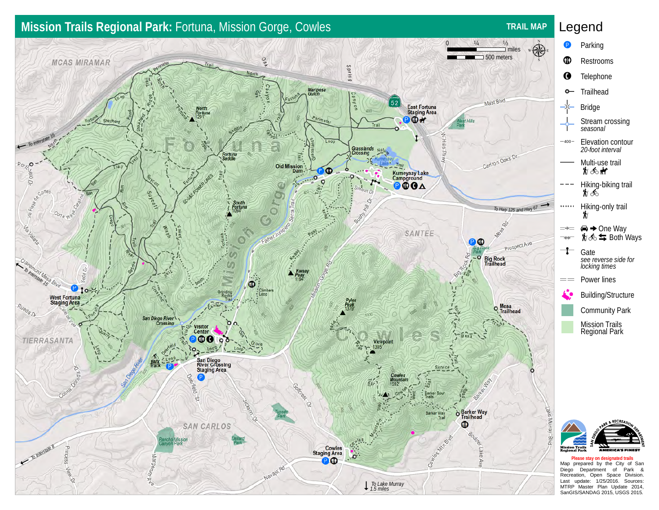